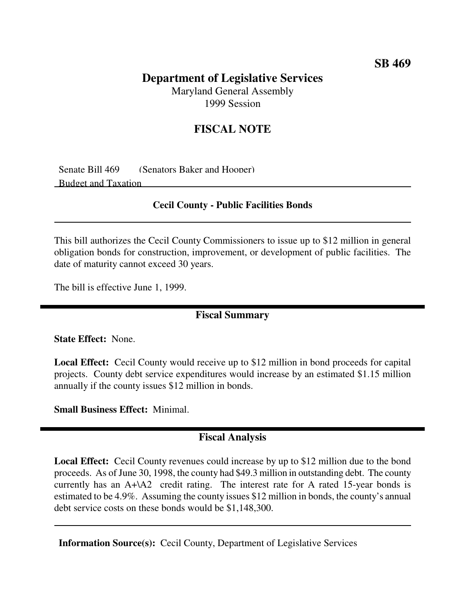## **SB 469**

# **Department of Legislative Services**

Maryland General Assembly 1999 Session

# **FISCAL NOTE**

Senate Bill 469 (Senators Baker and Hooper) Budget and Taxation

#### **Cecil County - Public Facilities Bonds**

This bill authorizes the Cecil County Commissioners to issue up to \$12 million in general obligation bonds for construction, improvement, or development of public facilities. The date of maturity cannot exceed 30 years.

The bill is effective June 1, 1999.

#### **Fiscal Summary**

**State Effect:** None.

**Local Effect:** Cecil County would receive up to \$12 million in bond proceeds for capital projects. County debt service expenditures would increase by an estimated \$1.15 million annually if the county issues \$12 million in bonds.

**Small Business Effect:** Minimal.

### **Fiscal Analysis**

**Local Effect:** Cecil County revenues could increase by up to \$12 million due to the bond proceeds. As of June 30, 1998, the county had \$49.3 million in outstanding debt. The county currently has an A+\A2 credit rating. The interest rate for A rated 15-year bonds is estimated to be 4.9%. Assuming the county issues \$12 million in bonds, the county's annual debt service costs on these bonds would be \$1,148,300.

**Information Source(s):** Cecil County, Department of Legislative Services